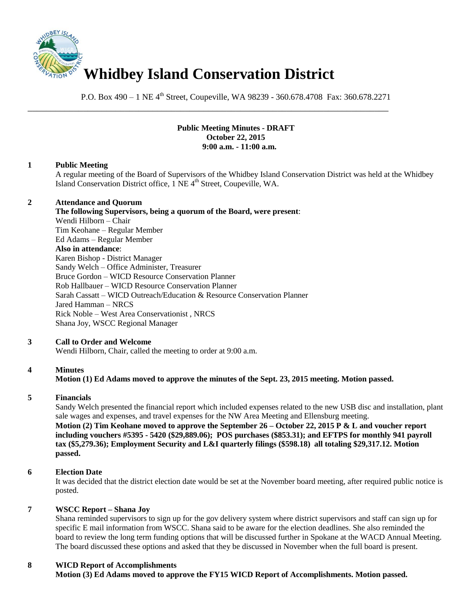

P.O. Box 490 – 1 NE 4<sup>th</sup> Street, Coupeville, WA 98239 - 360.678.4708 Fax: 360.678.2271

\_\_\_\_\_\_\_\_\_\_\_\_\_\_\_\_\_\_\_\_\_\_\_\_\_\_\_\_\_\_\_\_\_\_\_\_\_\_\_\_\_\_\_\_\_\_\_\_\_\_\_\_\_\_\_\_\_\_\_\_\_\_\_\_\_\_\_\_\_\_\_\_\_\_\_\_\_\_

## **Public Meeting Minutes - DRAFT October 22, 2015 9:00 a.m. - 11:00 a.m.**

### **1 Public Meeting**

A regular meeting of the Board of Supervisors of the Whidbey Island Conservation District was held at the Whidbey Island Conservation District office, 1 NE 4<sup>th</sup> Street, Coupeville, WA.

### **2 Attendance and Quorum**

**The following Supervisors, being a quorum of the Board, were present**: Wendi Hilborn – Chair Tim Keohane – Regular Member Ed Adams – Regular Member **Also in attendance**: Karen Bishop - District Manager Sandy Welch – Office Administer, Treasurer Bruce Gordon – WICD Resource Conservation Planner Rob Hallbauer – WICD Resource Conservation Planner Sarah Cassatt – WICD Outreach/Education & Resource Conservation Planner Jared Hamman – NRCS Rick Noble – West Area Conservationist , NRCS Shana Joy, WSCC Regional Manager

#### **3 Call to Order and Welcome**

Wendi Hilborn, Chair, called the meeting to order at 9:00 a.m.

#### **4 Minutes**

**Motion (1) Ed Adams moved to approve the minutes of the Sept. 23, 2015 meeting. Motion passed.** 

#### **5 Financials**

Sandy Welch presented the financial report which included expenses related to the new USB disc and installation, plant sale wages and expenses, and travel expenses for the NW Area Meeting and Ellensburg meeting. **Motion (2) Tim Keohane moved to approve the September 26 – October 22, 2015 P & L and voucher report including vouchers #5395 - 5420 (\$29,889.06); POS purchases (\$853.31); and EFTPS for monthly 941 payroll tax (\$5,279.36); Employment Security and L&I quarterly filings (\$598.18) all totaling \$29,317.12. Motion passed.** 

# **6 Election Date**

It was decided that the district election date would be set at the November board meeting, after required public notice is posted.

### **7 WSCC Report – Shana Joy**

Shana reminded supervisors to sign up for the gov delivery system where district supervisors and staff can sign up for specific E mail information from WSCC. Shana said to be aware for the election deadlines. She also reminded the board to review the long term funding options that will be discussed further in Spokane at the WACD Annual Meeting. The board discussed these options and asked that they be discussed in November when the full board is present.

# **8 WICD Report of Accomplishments**

**Motion (3) Ed Adams moved to approve the FY15 WICD Report of Accomplishments. Motion passed.**